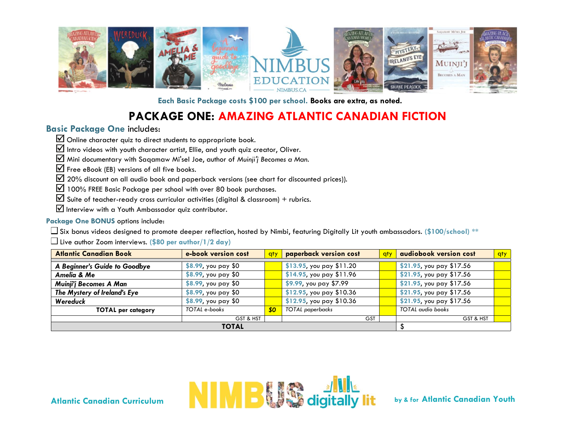

**Each Basic Package costs \$100 per school. Books are extra, as noted.**

# **PACKAGE ONE: AMAZING ATLANTIC CANADIAN FICTION**

### **Basic Package One** includes:

 $\boxtimes$  Online character quiz to direct students to appropriate book.

 $\mathbf{\nabla}$  Intro videos with youth character artist, Ellie, and youth quiz creator, Oliver.

Mini documentary with Saqamaw Mi'sel Joe, author of *Muinji'j Becomes a Man.* 

 $\mathbf{\nabla}$  Free eBook (EB) versions of all five books.

 $\boxtimes$  20% discount on all audio book and paperback versions (see chart for discounted prices)).

 $\boxtimes$  100% FREE Basic Package per school with over 80 book purchases.

 $\mathbf{\nabla}$  Suite of teacher-ready cross curricular activities (digital & classroom) + rubrics.

 $\blacksquare$  Interview with a Youth Ambassador quiz contributor.

#### **Package One BONUS** options include:

Six bonus videos designed to promote deeper reflection, hosted by Nimbi, featuring Digitally Lit youth ambassadors. **(\$100/school) \*\***

Live author Zoom interviews. **(\$80 per author/1/2 day)**

| <b>Atlantic Canadian Book</b> | e-book version cost    | qty       | paperback version cost    | qty | audiobook version cost   | qty |
|-------------------------------|------------------------|-----------|---------------------------|-----|--------------------------|-----|
|                               |                        |           |                           |     |                          |     |
| A Beginner's Guide to Goodbye | \$8.99, you pay \$0    |           | \$13.95, you pay $$11.20$ |     | \$21.95, you pay \$17.56 |     |
| Amelia & Me                   | \$8.99, you pay \$0    |           | \$14.95, you pay \$11.96  |     | \$21.95, you pay \$17.56 |     |
| Muinji'j Becomes A Man        | \$8.99, you pay \$0    |           | \$9.99, you pay \$7.99    |     | \$21.95, you pay \$17.56 |     |
| The Mystery of Ireland's Eye  | $$8.99$ , you pay $$0$ |           | \$12.95, you pay \$10.36  |     | \$21.95, you pay \$17.56 |     |
| Wereduck                      | \$8.99, you pay \$0    |           | \$12.95, you pay \$10.36  |     | \$21.95, you pay \$17.56 |     |
| <b>TOTAL per category</b>     | TOTAL e-books          | <b>SO</b> | TOTAL paperbacks          |     | <b>TOTAL</b> audio books |     |
|                               | GST & HST              |           | <b>GST</b>                |     | GST & HST                |     |
| <b>TOTAL</b>                  |                        |           |                           |     |                          |     |

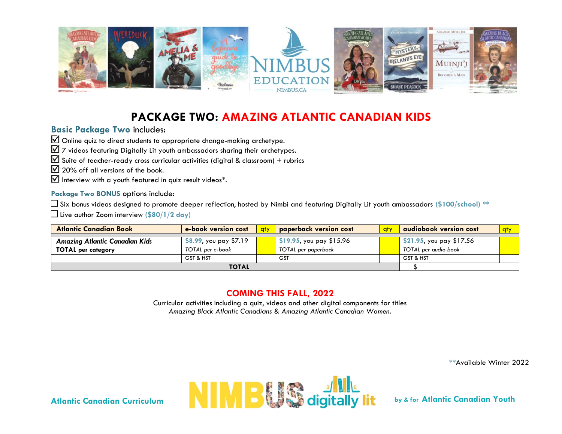

# **PACKAGE TWO: AMAZING ATLANTIC CANADIAN KIDS**

### **Basic Package Two** includes:

Online quiz to direct students to appropriate change-making archetype.

 $\overline{2}$  7 videos featuring Digitally Lit youth ambassadors sharing their archetypes.

 $\overline{M}$  Suite of teacher-ready cross curricular activities (digital & classroom) + rubrics

 $\boxtimes$  20% off all versions of the book.

 $\mathbf{\nabla}$  Interview with a youth featured in quiz result videos\*.

#### **Package Two BONUS** options include:

Six bonus videos designed to promote deeper reflection, hosted by Nimbi and featuring Digitally Lit youth ambassadors **(\$100/school) \*\***

Live author Zoom interview **(\$80/1/2 day)** 

| <b>Atlantic Canadian Book</b>         | e-book version cost       | <b>aty</b> | <b>paperback version cost</b> | aty. | audiobook version cost   | <b>gty</b> |
|---------------------------------------|---------------------------|------------|-------------------------------|------|--------------------------|------------|
|                                       |                           |            |                               |      |                          |            |
| <b>Amazing Atlantic Canadian Kids</b> | $$8.99$ , you pay $$7.19$ |            | \$19.95, you pay \$15.96      |      | \$21.95, you pay \$17.56 |            |
| <b>TOTAL per category</b>             | TOTAL per e-book          |            | TOTAL per paperback           |      | TOTAL per audio book     |            |
|                                       | GST & HST                 |            | <b>GST</b>                    |      | GST & HST                |            |
| <b>TOTAL</b>                          |                           |            |                               |      |                          |            |

### **COMING THIS FALL, 2022**

Curricular activities including a quiz, videos and other digital components for titles *Amazing Black Atlantic Canadians* & *Amazing Atlantic Canadian Women.*

**\*\***Available Winter 2022